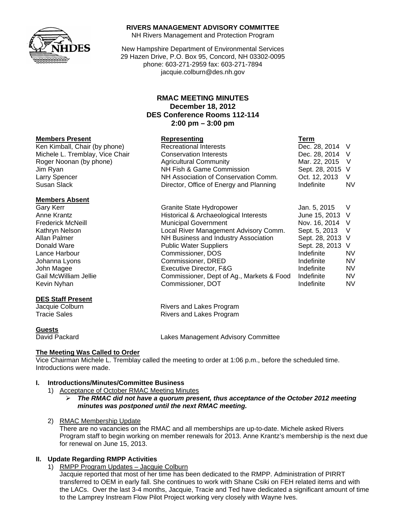

### **RIVERS MANAGEMENT ADVISORY COMMITTEE**

NH Rivers Management and Protection Program

New Hampshire Department of Environmental Services 29 Hazen Drive, P.O. Box 95, Concord, NH 03302-0095 phone: 603-271-2959 fax: 603-271-7894 jacquie.colburn@des.nh.gov

# **RMAC MEETING MINUTES December 18, 2012 DES Conference Rooms 112-114 2:00 pm – 3:00 pm**

#### **Members Present Construction Construction Representing Construction Term**

Ken Kimball, Chair (by phone) Recreational Interests Dec. 28, 2014 V Michele L. Tremblay, Vice Chair Conservation Interests Dec. 28, 2014 V Roger Noonan (by phone) Agricultural Community Mar. 22, 2015 V Jim Ryan NH Fish & Game Commission Sept. 28, 2015 V Larry Spencer NH Association of Conservation Comm. Oct. 12, 2013 V Susan Slack **Director, Office of Energy and Planning** Indefinite MV

#### **Members Absent**

## **DES Staff Present**

**Guests**

## **The Meeting Was Called to Order**

Vice Chairman Michele L. Tremblay called the meeting to order at 1:06 p.m., before the scheduled time. Introductions were made.

#### **I. Introductions/Minutes/Committee Business**

- 1) Acceptance of October RMAC Meeting Minutes
	- ¾ *The RMAC did not have a quorum present, thus acceptance of the October 2012 meeting minutes was postponed until the next RMAC meeting.*
- 2) RMAC Membership Update

There are no vacancies on the RMAC and all memberships are up-to-date. Michele asked Rivers Program staff to begin working on member renewals for 2013. Anne Krantz's membership is the next due for renewal on June 15, 2013.

### **II. Update Regarding RMPP Activities**

1) RMPP Program Updates – Jacquie Colburn

Jacquie reported that most of her time has been dedicated to the RMPP. Administration of PIRRT transferred to OEM in early fall. She continues to work with Shane Csiki on FEH related items and with the LACs. Over the last 3-4 months, Jacquie, Tracie and Ted have dedicated a significant amount of time to the Lamprey Instream Flow Pilot Project working very closely with Wayne Ives.

| Gary Kerr                | Granite State Hydropower                  | Jan. 5, 2015     |           |
|--------------------------|-------------------------------------------|------------------|-----------|
| Anne Krantz              | Historical & Archaeological Interests     | June 15, 2013 V  |           |
| <b>Frederick McNeill</b> | <b>Municipal Government</b>               | Nov. 16, 2014 V  |           |
| Kathryn Nelson           | Local River Management Advisory Comm.     | Sept. 5, 2013 V  |           |
| Allan Palmer             | NH Business and Industry Association      | Sept. 28, 2013 V |           |
| Donald Ware              | <b>Public Water Suppliers</b>             | Sept. 28, 2013 V |           |
| Lance Harbour            | Commissioner, DOS                         | Indefinite       | <b>NV</b> |
| Johanna Lyons            | Commissioner, DRED                        | Indefinite       | <b>NV</b> |
| John Magee               | Executive Director, F&G                   | Indefinite       | <b>NV</b> |
| Gail McWilliam Jellie    | Commissioner, Dept of Ag., Markets & Food | Indefinite       | <b>NV</b> |
| Kevin Nyhan              | Commissioner, DOT                         | Indefinite       | <b>NV</b> |

Jacquie Colburn **Rivers** and Lakes Program Tracie Sales **Rivers** and Lakes Program

David Packard Lakes Management Advisory Committee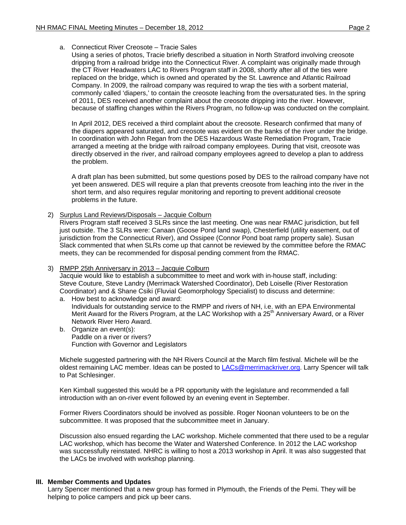a. Connecticut River Creosote – Tracie Sales

Using a series of photos, Tracie briefly described a situation in North Stratford involving creosote dripping from a railroad bridge into the Connecticut River. A complaint was originally made through the CT River Headwaters LAC to Rivers Program staff in 2008, shortly after all of the ties were replaced on the bridge, which is owned and operated by the St. Lawrence and Atlantic Railroad Company. In 2009, the railroad company was required to wrap the ties with a sorbent material, commonly called 'diapers,' to contain the creosote leaching from the oversaturated ties. In the spring of 2011, DES received another complaint about the creosote dripping into the river. However, because of staffing changes within the Rivers Program, no follow-up was conducted on the complaint.

In April 2012, DES received a third complaint about the creosote. Research confirmed that many of the diapers appeared saturated, and creosote was evident on the banks of the river under the bridge. In coordination with John Regan from the DES Hazardous Waste Remediation Program, Tracie arranged a meeting at the bridge with railroad company employees. During that visit, creosote was directly observed in the river, and railroad company employees agreed to develop a plan to address the problem.

A draft plan has been submitted, but some questions posed by DES to the railroad company have not yet been answered. DES will require a plan that prevents creosote from leaching into the river in the short term, and also requires regular monitoring and reporting to prevent additional creosote problems in the future.

2) Surplus Land Reviews/Disposals – Jacquie Colburn

Rivers Program staff received 3 SLRs since the last meeting. One was near RMAC jurisdiction, but fell just outside. The 3 SLRs were: Canaan (Goose Pond land swap), Chesterfield (utility easement, out of jurisdiction from the Connecticut River), and Ossipee (Connor Pond boat ramp property sale). Susan Slack commented that when SLRs come up that cannot be reviewed by the committee before the RMAC meets, they can be recommended for disposal pending comment from the RMAC.

#### 3) RMPP 25th Anniversary in 2013 – Jacquie Colburn

Jacquie would like to establish a subcommittee to meet and work with in-house staff, including: Steve Couture, Steve Landry (Merrimack Watershed Coordinator), Deb Loiselle (River Restoration Coordinator) and & Shane Csiki (Fluvial Geomorphology Specialist) to discuss and determine:

- a. How best to acknowledge and award: Individuals for outstanding service to the RMPP and rivers of NH, i.e. with an EPA Environmental Merit Award for the Rivers Program, at the LAC Workshop with a 25<sup>th</sup> Anniversary Award, or a River Network River Hero Award.
- b. Organize an event(s): Paddle on a river or rivers? Function with Governor and Legislators

Michele suggested partnering with the NH Rivers Council at the March film festival. Michele will be the oldest remaining LAC member. Ideas can be posted to [LACs@merrimackriver.org.](mailto:LACs@merrimackriver.org) Larry Spencer will talk to Pat Schlesinger.

Ken Kimball suggested this would be a PR opportunity with the legislature and recommended a fall introduction with an on-river event followed by an evening event in September.

Former Rivers Coordinators should be involved as possible. Roger Noonan volunteers to be on the subcommittee. It was proposed that the subcommittee meet in January.

Discussion also ensued regarding the LAC workshop. Michele commented that there used to be a regular LAC workshop, which has become the Water and Watershed Conference. In 2012 the LAC workshop was successfully reinstated. NHRC is willing to host a 2013 workshop in April. It was also suggested that the LACs be involved with workshop planning.

#### **III. Member Comments and Updates**

Larry Spencer mentioned that a new group has formed in Plymouth, the Friends of the Pemi. They will be helping to police campers and pick up beer cans.